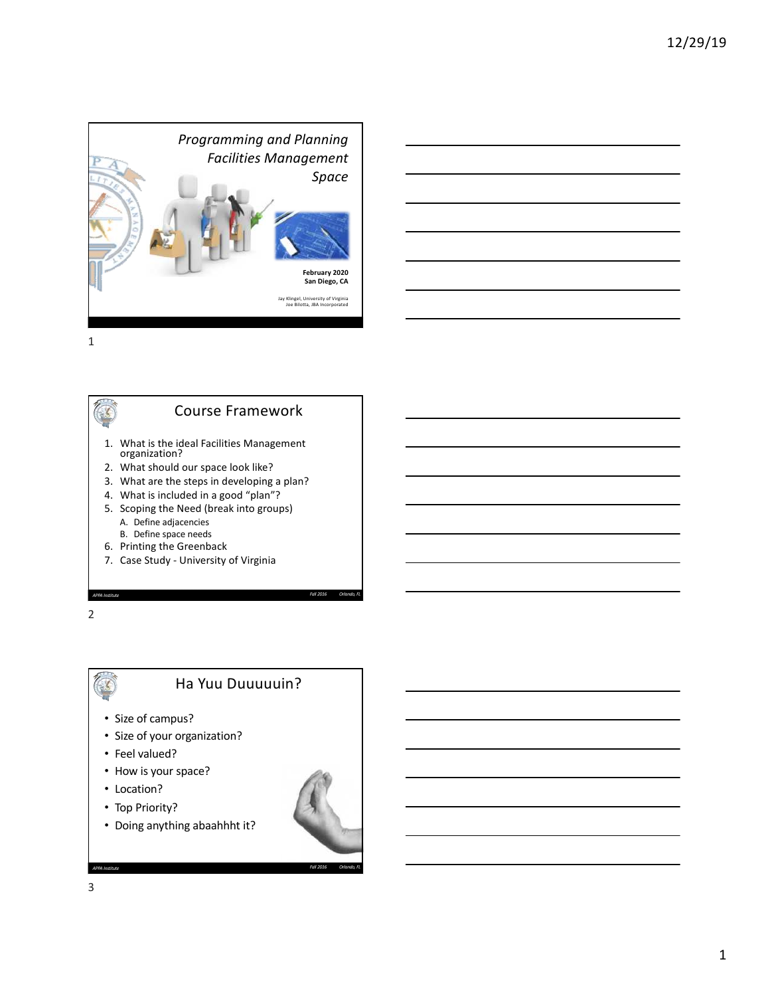



### 2

 $\sqrt{2}$ 

# Ha Yuu Duuuuuin?

- Size of campus?
- Size of your organization?
- Feel valued?
- How is your space?
- Location?
- Top Priority?
- Doing anything abaahhht it?

*APPA Institute Fall 2016 Orlando, FL*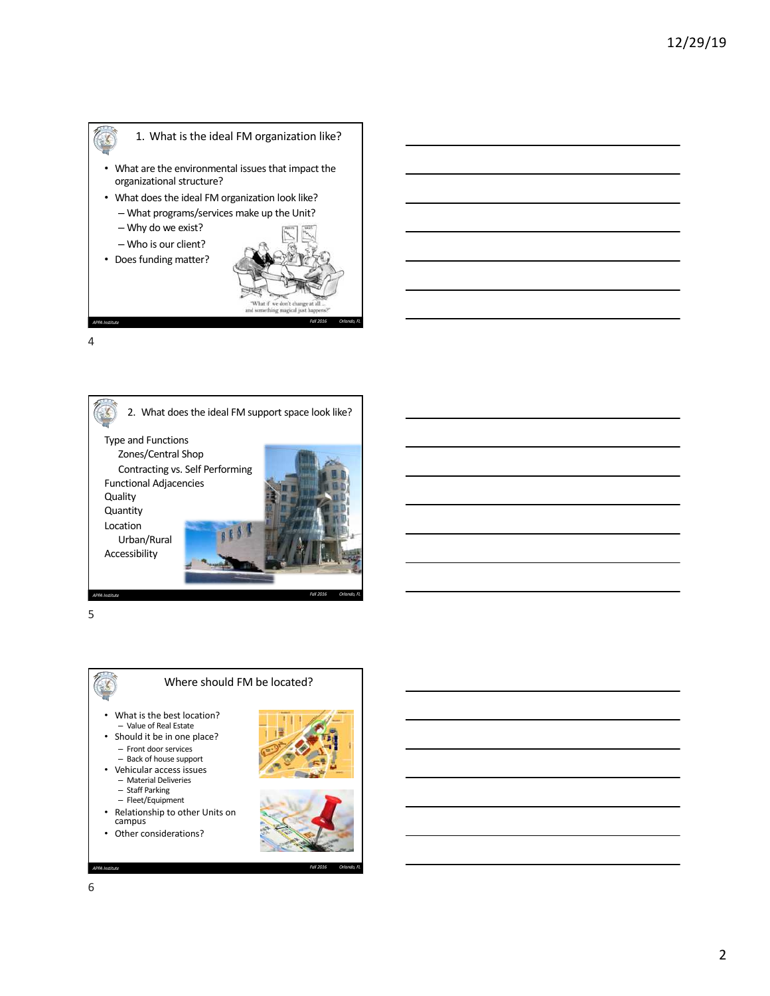



5



- What is the best location? – Value of Real Estate
- Should it be in one place? – Front door services
	- Back of house support
- Vehicular access issues – Material Deliveries
	-
	- Staff Parking Fleet/Equipment
- Relationship to other Units on campus

*APPA Institute Fall 2016 Orlando, FL*

• Other considerations?

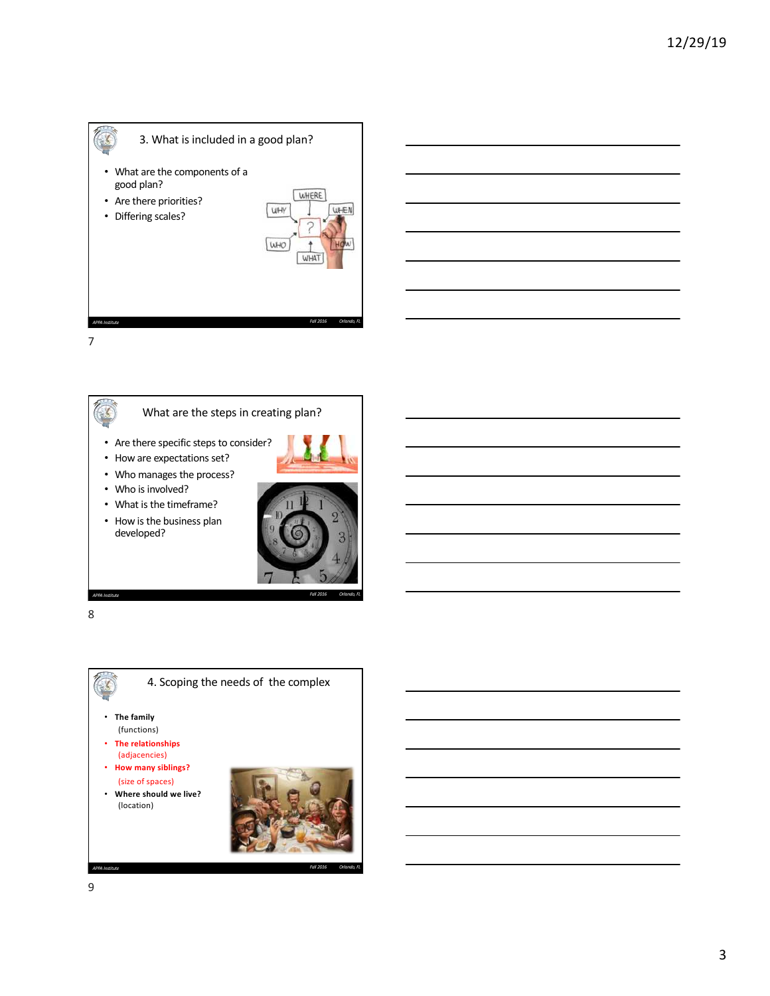



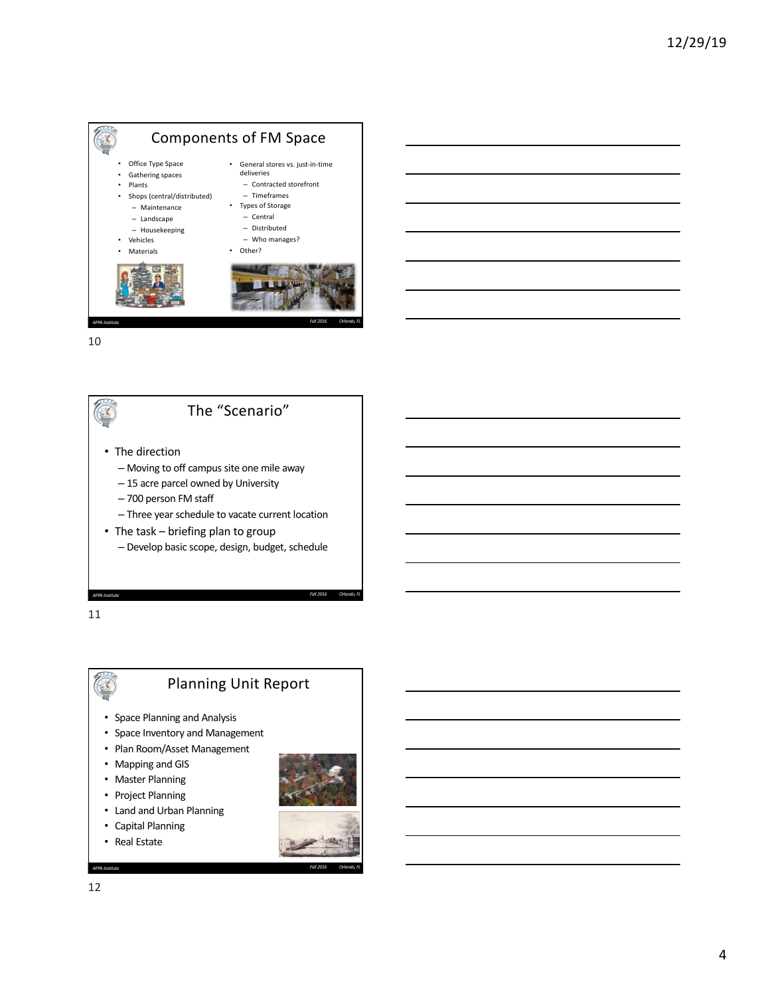





11



# Planning Unit Report

- Space Planning and Analysis
- Space Inventory and Management
- Plan Room/Asset Management
- Mapping and GIS
- Master Planning
- Project Planning
- Land and Urban Planning
- Capital Planning
- Real Estate

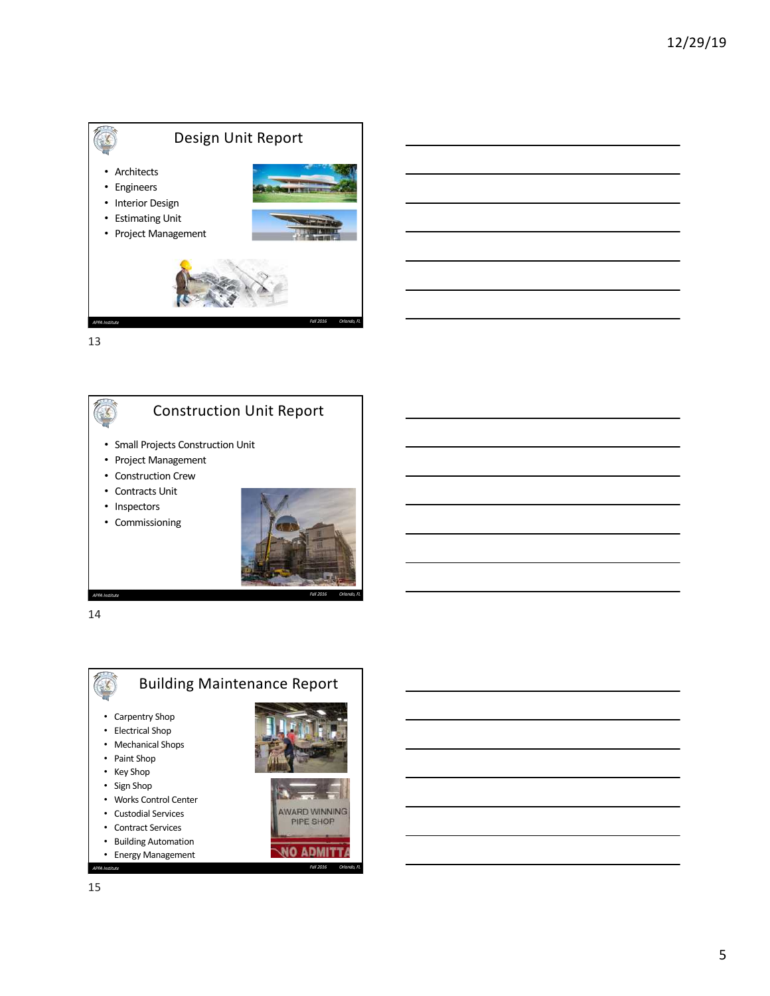





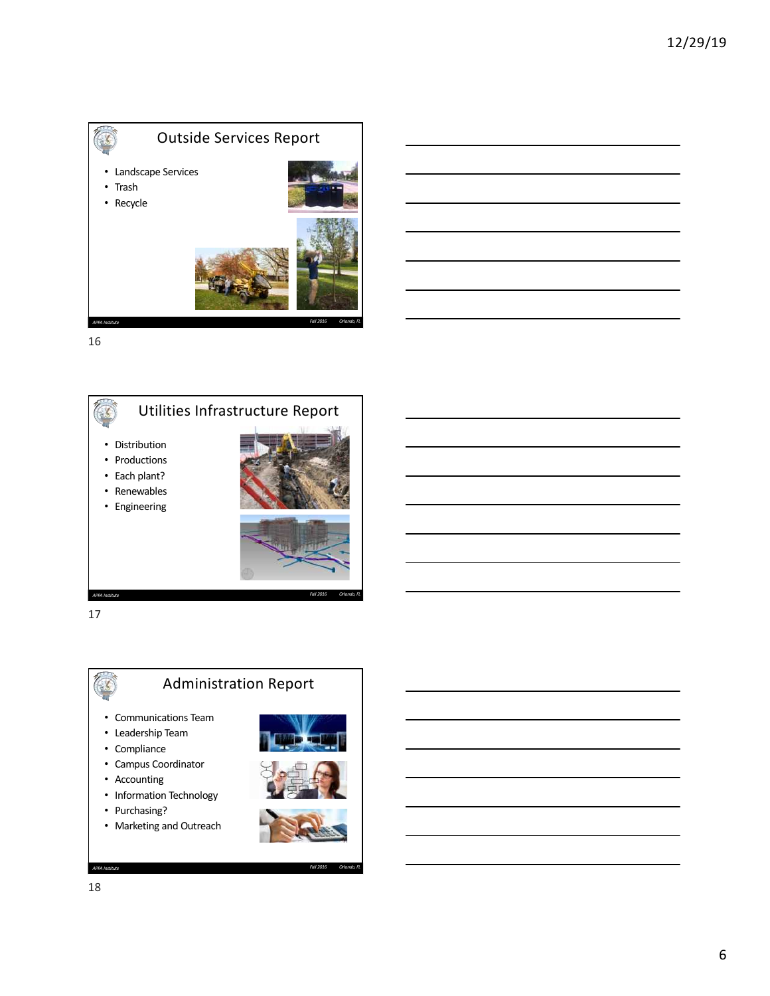



17

 $\mathcal{L}$ 

# Administration Report

*APPA Institute Fall 2016 Orlando, FL*

- Communications Team
- Leadership Team
- Compliance
- Campus Coordinator
- Accounting
- Information Technology
- Purchasing?
- Marketing and Outreach





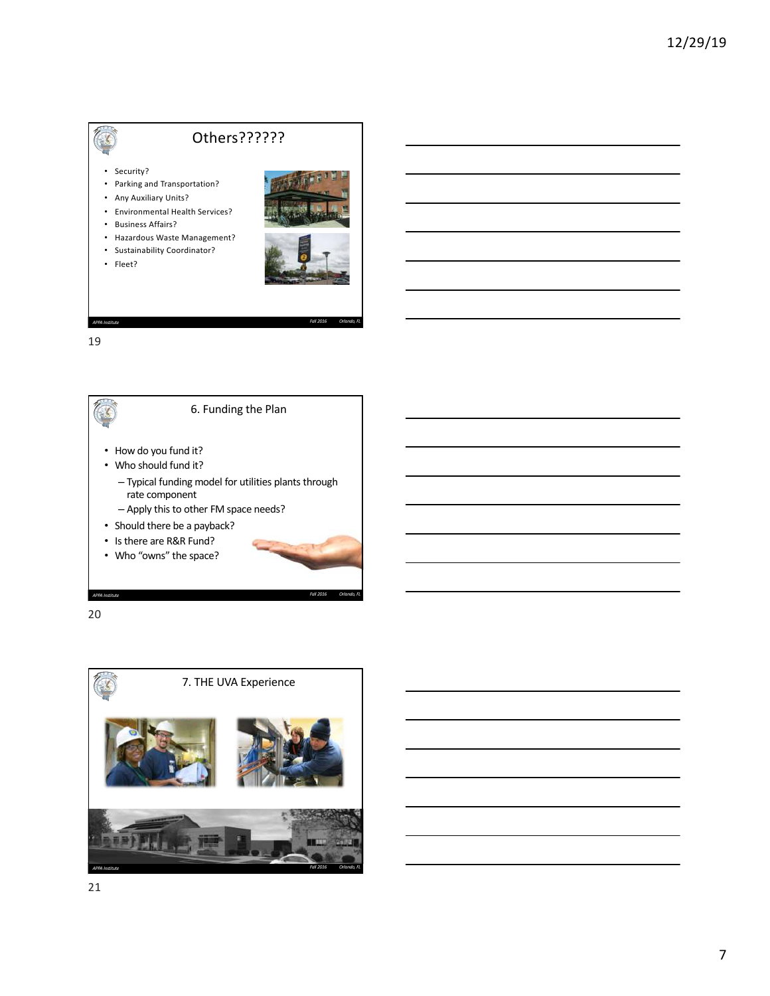# Others??????

- Security?
- Parking and Transportation?
- Any Auxiliary Units?
- Environmental Health Services?
- Business Affairs?
- Hazardous Waste Management?
- Sustainability Coordinator?
- Fleet?



19



*APPA Institute Fall 2016 Orlando, FL*

20

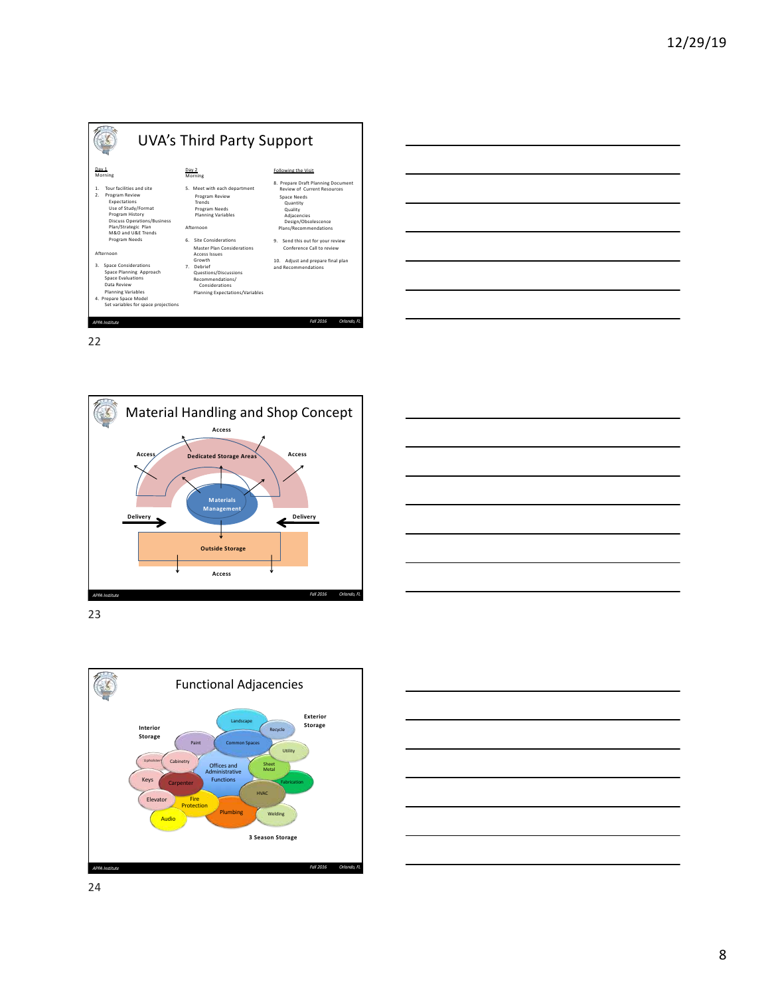











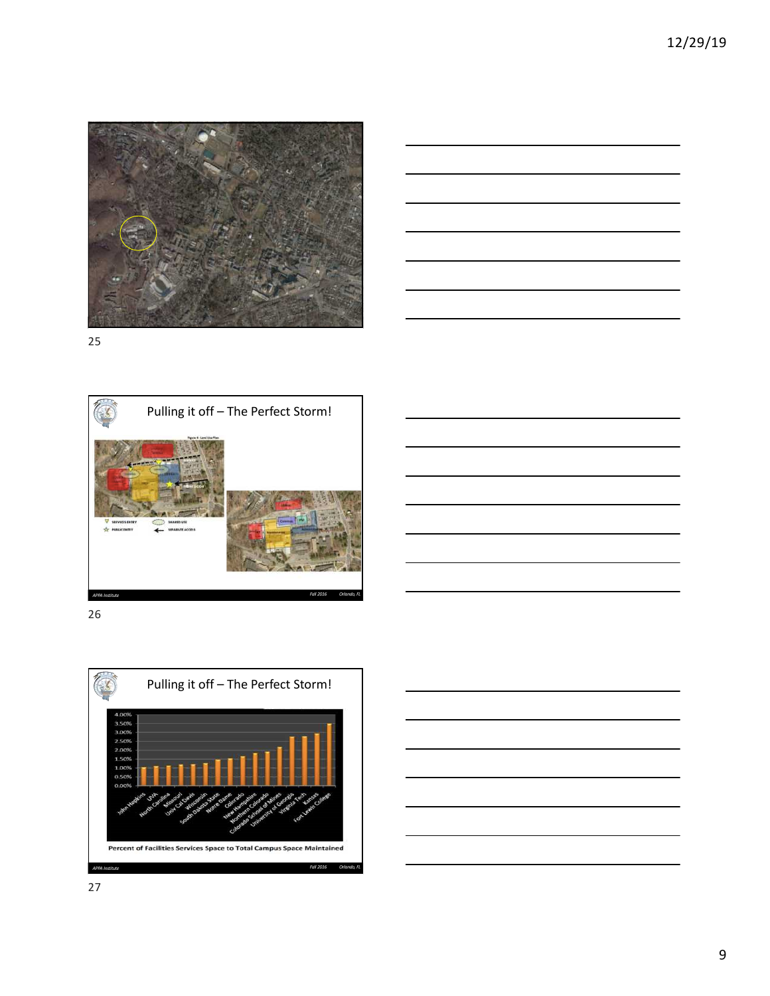









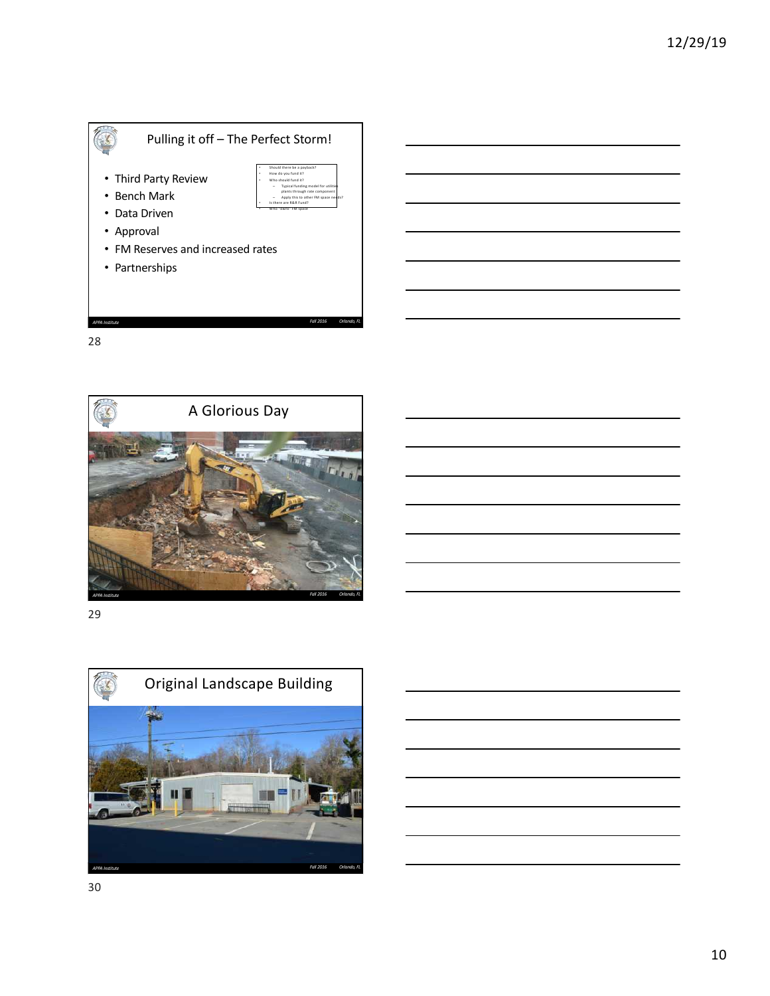



29

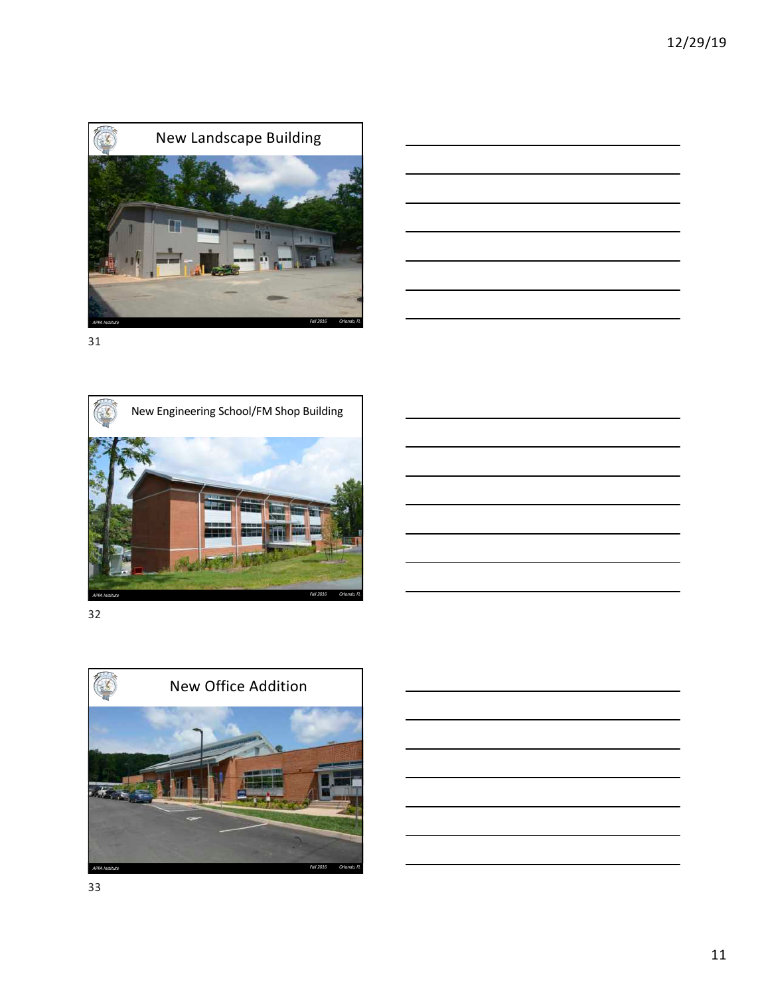